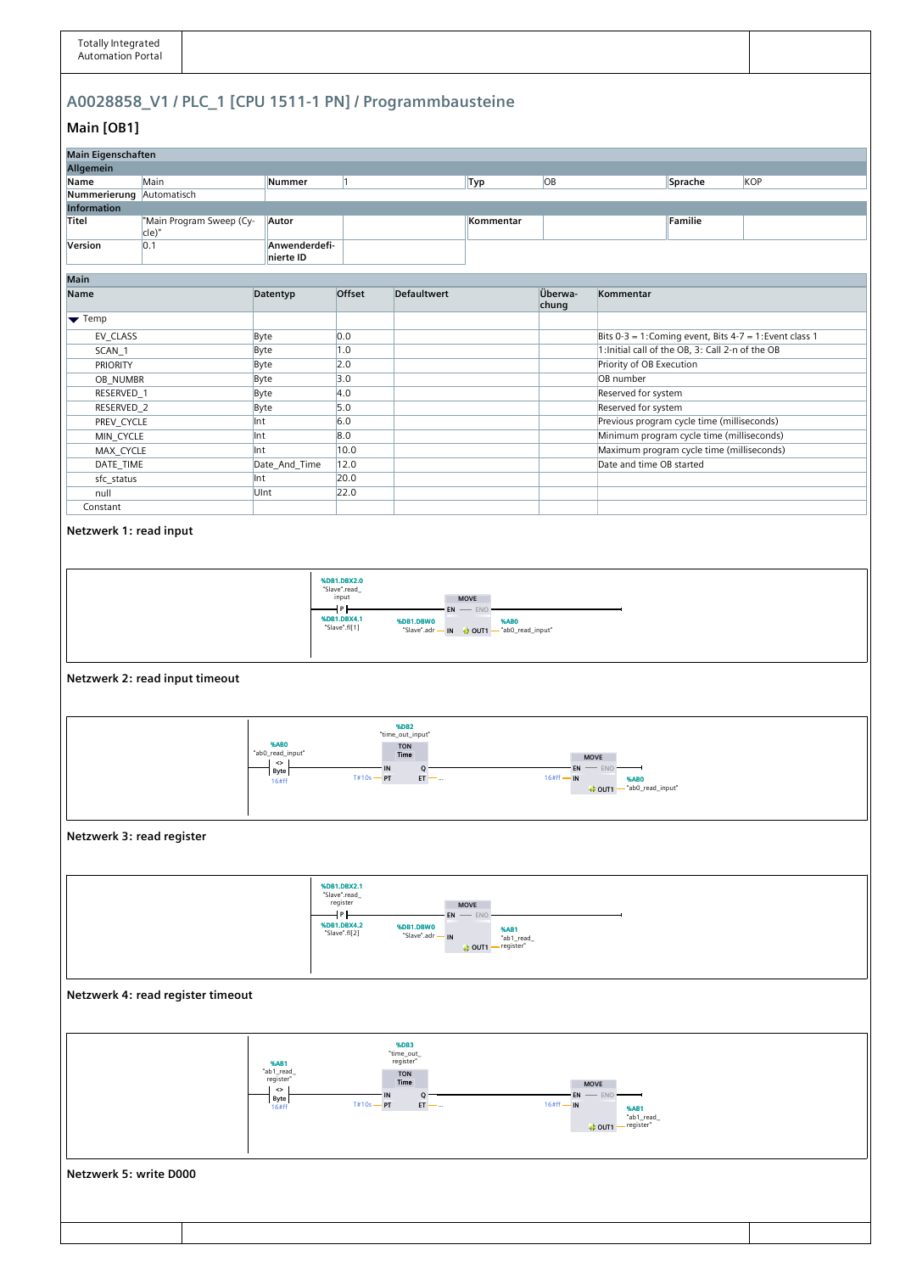## **A0028858\_V1 / PLC\_1 [CPU 1511-1 PN] / Programmbausteine**

## **Main [OB1]**

| Main Eigenschaften                                                                                                                                                                                              |                                                              |                                                                               |                                                                                 |                               |                                                                                      |                                                                                    |                          |                                                  |                                                         |  |  |
|-----------------------------------------------------------------------------------------------------------------------------------------------------------------------------------------------------------------|--------------------------------------------------------------|-------------------------------------------------------------------------------|---------------------------------------------------------------------------------|-------------------------------|--------------------------------------------------------------------------------------|------------------------------------------------------------------------------------|--------------------------|--------------------------------------------------|---------------------------------------------------------|--|--|
| Allgemein                                                                                                                                                                                                       |                                                              |                                                                               |                                                                                 |                               |                                                                                      |                                                                                    |                          |                                                  |                                                         |  |  |
| Name                                                                                                                                                                                                            | Main                                                         | Nummer                                                                        | $ 1\rangle$                                                                     |                               | Typ                                                                                  | OB                                                                                 |                          | Sprache                                          | KOP                                                     |  |  |
| Nummerierung Automatisch                                                                                                                                                                                        |                                                              |                                                                               |                                                                                 |                               |                                                                                      |                                                                                    |                          |                                                  |                                                         |  |  |
| <b>Information</b>                                                                                                                                                                                              |                                                              |                                                                               |                                                                                 |                               |                                                                                      |                                                                                    |                          |                                                  |                                                         |  |  |
| Titel                                                                                                                                                                                                           | "Main Program Sweep (Cy-<br>cle)"                            | Autor                                                                         |                                                                                 |                               | Kommentar                                                                            |                                                                                    |                          | Familie                                          |                                                         |  |  |
| Version                                                                                                                                                                                                         | 0.1                                                          | Anwenderdefi-<br>nierte ID                                                    |                                                                                 |                               |                                                                                      |                                                                                    |                          |                                                  |                                                         |  |  |
| Main                                                                                                                                                                                                            |                                                              |                                                                               |                                                                                 |                               |                                                                                      |                                                                                    |                          |                                                  |                                                         |  |  |
| <b>Name</b>                                                                                                                                                                                                     |                                                              | Datentyp                                                                      | Offset                                                                          | <b>Defaultwert</b>            |                                                                                      | Überwa-<br>chung                                                                   | Kommentar                |                                                  |                                                         |  |  |
| $\blacktriangleright$ Temp                                                                                                                                                                                      |                                                              |                                                                               |                                                                                 |                               |                                                                                      |                                                                                    |                          |                                                  |                                                         |  |  |
| EV_CLASS                                                                                                                                                                                                        |                                                              | Byte                                                                          | 0.0                                                                             |                               |                                                                                      |                                                                                    |                          |                                                  | Bits 0-3 = 1: Coming event, Bits 4-7 = 1: Event class 1 |  |  |
| SCAN_1                                                                                                                                                                                                          |                                                              | Byte                                                                          | 1.0                                                                             |                               |                                                                                      |                                                                                    |                          | 1: Initial call of the OB, 3: Call 2-n of the OB |                                                         |  |  |
| <b>PRIORITY</b>                                                                                                                                                                                                 |                                                              | Byte                                                                          | $ 2.0\rangle$                                                                   |                               |                                                                                      |                                                                                    | Priority of OB Execution |                                                  |                                                         |  |  |
| OB_NUMBR                                                                                                                                                                                                        |                                                              | Byte                                                                          | 3.0                                                                             |                               |                                                                                      |                                                                                    | OB number                |                                                  |                                                         |  |  |
| RESERVED_1                                                                                                                                                                                                      |                                                              | Byte                                                                          | 4.0                                                                             |                               |                                                                                      |                                                                                    | Reserved for system      |                                                  |                                                         |  |  |
| RESERVED_2                                                                                                                                                                                                      |                                                              | Byte                                                                          | 5.0                                                                             |                               |                                                                                      |                                                                                    | Reserved for system      |                                                  |                                                         |  |  |
| PREV_CYCLE                                                                                                                                                                                                      |                                                              | Int                                                                           | 6.0                                                                             |                               |                                                                                      |                                                                                    |                          | Previous program cycle time (milliseconds)       |                                                         |  |  |
| MIN_CYCLE                                                                                                                                                                                                       |                                                              | Int                                                                           | 8.0                                                                             |                               |                                                                                      |                                                                                    |                          | Minimum program cycle time (milliseconds)        |                                                         |  |  |
| MAX_CYCLE                                                                                                                                                                                                       |                                                              | Int                                                                           | 10.0                                                                            |                               |                                                                                      |                                                                                    |                          | Maximum program cycle time (milliseconds)        |                                                         |  |  |
| DATE_TIME                                                                                                                                                                                                       |                                                              | Date_And_Time                                                                 | 12.0                                                                            |                               |                                                                                      |                                                                                    | Date and time OB started |                                                  |                                                         |  |  |
| sfc_status                                                                                                                                                                                                      |                                                              | Int                                                                           | 20.0                                                                            |                               |                                                                                      |                                                                                    |                          |                                                  |                                                         |  |  |
| null                                                                                                                                                                                                            |                                                              | UInt                                                                          | 22.0                                                                            |                               |                                                                                      |                                                                                    |                          |                                                  |                                                         |  |  |
| Constant                                                                                                                                                                                                        |                                                              |                                                                               |                                                                                 |                               |                                                                                      |                                                                                    |                          |                                                  |                                                         |  |  |
| %DB1.DBX2.0<br>"Slave".read_<br>input<br><b>MOVE</b><br>┪╸┝<br>$EN$ - ENO-<br>%DB1.DBX4.1<br>%DB1.DBW0<br>%AB0<br>"Slave".fl[1]<br>"Slave".adr - IN   OUT1 - "ab0_read_input"<br>Netzwerk 2: read input timeout |                                                              |                                                                               |                                                                                 |                               |                                                                                      |                                                                                    |                          |                                                  |                                                         |  |  |
| %DB <sub>2</sub>                                                                                                                                                                                                |                                                              |                                                                               |                                                                                 |                               |                                                                                      |                                                                                    |                          |                                                  |                                                         |  |  |
|                                                                                                                                                                                                                 | %ABO<br>"ab0_read_input"<br>$\dotsc$<br><b>Byte</b><br>16#ff | "time_out_input"<br><b>TON</b><br>Time<br>IN<br>Q.<br>$T#10s - PT$<br>$ET - $ |                                                                                 |                               |                                                                                      | <b>MOVE</b><br>EN<br>$-$ ENO<br>$16#ff$ – IN<br>%ABO<br>to OUT1 - "ab0_read_input" |                          |                                                  |                                                         |  |  |
| Netzwerk 3: read register                                                                                                                                                                                       |                                                              |                                                                               |                                                                                 |                               |                                                                                      |                                                                                    |                          |                                                  |                                                         |  |  |
|                                                                                                                                                                                                                 |                                                              |                                                                               | %DB1.DBX2.1<br>"Slave".read_<br>register<br>┪╸┝<br>%DB1.DBX4.2<br>"Slave".fl[2] | %DB1.DBW0<br>"Slave".adr - IN | <b>MOVE</b><br>$EN$ - ENO<br><b>%AB1</b><br>"ab1_read_<br>— register"<br>$+1$ OUT1 – |                                                                                    |                          |                                                  |                                                         |  |  |

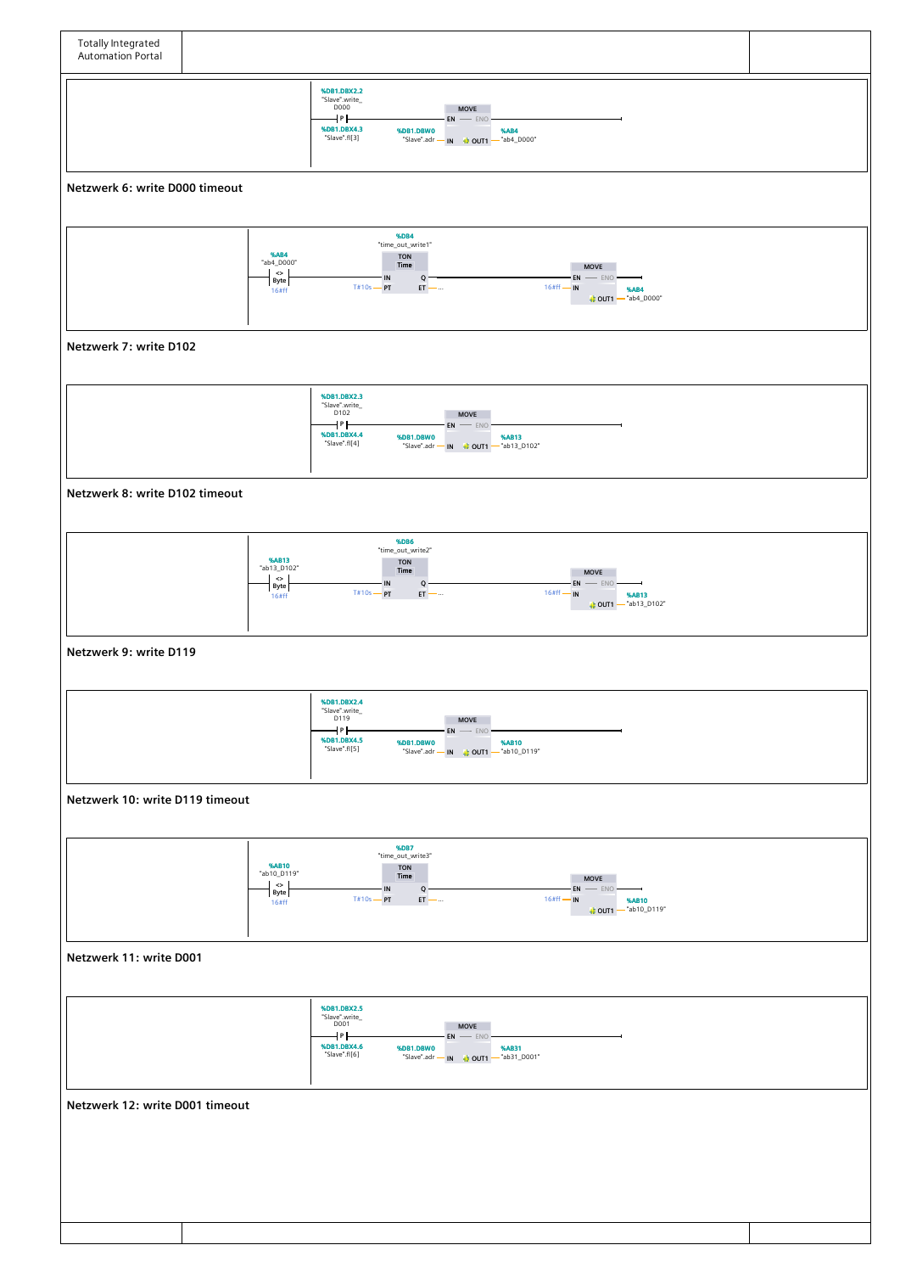

**Netzwerk 11: write D001**